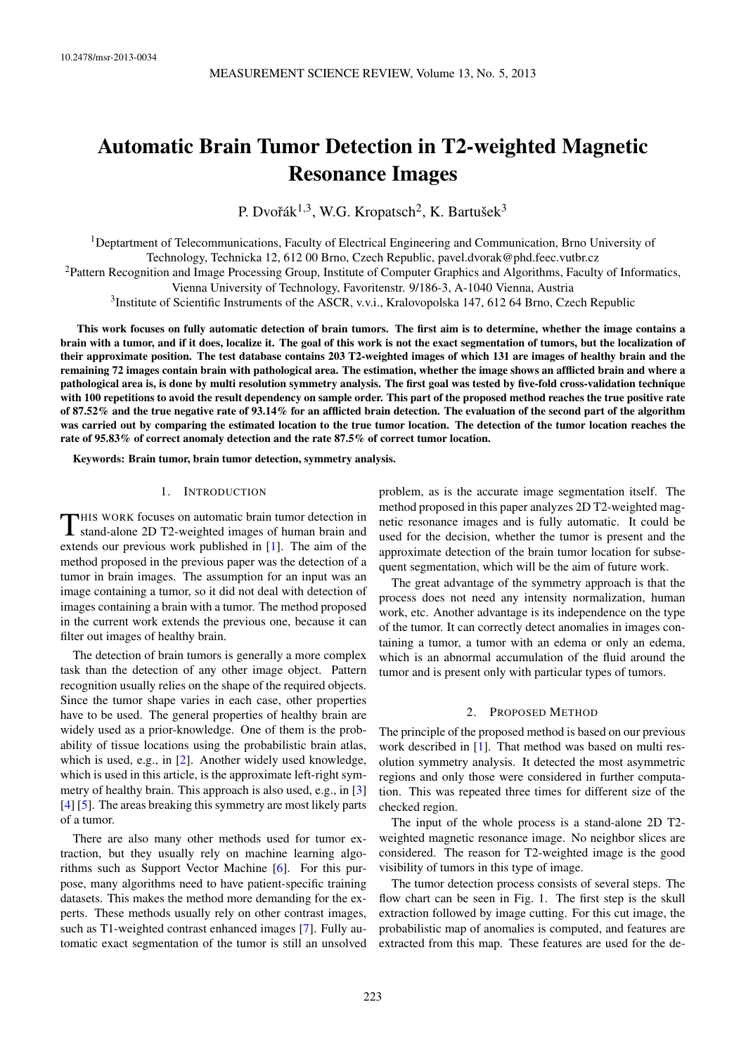# Automatic Brain Tumor Detection in T2-weighted Magnetic Resonance Images

P. Dvořák $^{1,3}$ , W.G. Kropatsch<sup>2</sup>, K. Bartušek<sup>3</sup>

<sup>1</sup>Deptartment of Telecommunications, Faculty of Electrical Engineering and Communication, Brno University of Technology, Technicka 12, 612 00 Brno, Czech Republic, [pavel.dvorak@phd.feec.vutbr.cz](mailto:pavel.dvorak@phd.feec.vutbr.cz)

<sup>2</sup>Pattern Recognition and Image Processing Group, Institute of Computer Graphics and Algorithms, Faculty of Informatics,

Vienna University of Technology, Favoritenstr. 9/186-3, A-1040 Vienna, Austria

<sup>3</sup>Institute of Scientific Instruments of the ASCR, v.v.i., Kralovopolska 147, 612 64 Brno, Czech Republic

This work focuses on fully automatic detection of brain tumors. The first aim is to determine, whether the image contains a brain with a tumor, and if it does, localize it. The goal of this work is not the exact segmentation of tumors, but the localization of their approximate position. The test database contains 203 T2-weighted images of which 131 are images of healthy brain and the remaining 72 images contain brain with pathological area. The estimation, whether the image shows an afflicted brain and where a pathological area is, is done by multi resolution symmetry analysis. The first goal was tested by five-fold cross-validation technique with 100 repetitions to avoid the result dependency on sample order. This part of the proposed method reaches the true positive rate of 87.52% and the true negative rate of 93.14% for an afflicted brain detection. The evaluation of the second part of the algorithm was carried out by comparing the estimated location to the true tumor location. The detection of the tumor location reaches the rate of 95.83% of correct anomaly detection and the rate 87.5% of correct tumor location.

Keywords: Brain tumor, brain tumor detection, symmetry analysis.

# 1. INTRODUCTION

THIS WORK focuses on automatic brain tumor detection in<br>
stand-alone 2D T2-weighted images of human brain and HIS WORK focuses on automatic brain tumor detection in extends our previous work published in [\[1\]](#page-6-0). The aim of the method proposed in the previous paper was the detection of a tumor in brain images. The assumption for an input was an image containing a tumor, so it did not deal with detection of images containing a brain with a tumor. The method proposed in the current work extends the previous one, because it can filter out images of healthy brain.

The detection of brain tumors is generally a more complex task than the detection of any other image object. Pattern recognition usually relies on the shape of the required objects. Since the tumor shape varies in each case, other properties have to be used. The general properties of healthy brain are widely used as a prior-knowledge. One of them is the probability of tissue locations using the probabilistic brain atlas, which is used, e.g., in [\[2\]](#page-6-1). Another widely used knowledge, which is used in this article, is the approximate left-right symmetry of healthy brain. This approach is also used, e.g., in [\[3\]](#page-6-2) [\[4\]](#page-6-3) [\[5\]](#page-6-4). The areas breaking this symmetry are most likely parts of a tumor.

There are also many other methods used for tumor extraction, but they usually rely on machine learning algorithms such as Support Vector Machine [\[6\]](#page-6-5). For this purpose, many algorithms need to have patient-specific training datasets. This makes the method more demanding for the experts. These methods usually rely on other contrast images, such as T1-weighted contrast enhanced images [\[7\]](#page-6-6). Fully automatic exact segmentation of the tumor is still an unsolved problem, as is the accurate image segmentation itself. The method proposed in this paper analyzes 2D T2-weighted magnetic resonance images and is fully automatic. It could be used for the decision, whether the tumor is present and the approximate detection of the brain tumor location for subsequent segmentation, which will be the aim of future work.

The great advantage of the symmetry approach is that the process does not need any intensity normalization, human work, etc. Another advantage is its independence on the type of the tumor. It can correctly detect anomalies in images containing a tumor, a tumor with an edema or only an edema, which is an abnormal accumulation of the fluid around the tumor and is present only with particular types of tumors.

#### 2. PROPOSED METHOD

<span id="page-0-0"></span>The principle of the proposed method is based on our previous work described in [\[1\]](#page-6-0). That method was based on multi resolution symmetry analysis. It detected the most asymmetric regions and only those were considered in further computation. This was repeated three times for different size of the checked region.

The input of the whole process is a stand-alone 2D T2 weighted magnetic resonance image. No neighbor slices are considered. The reason for T2-weighted image is the good visibility of tumors in this type of image.

The tumor detection process consists of several steps. The flow chart can be seen in Fig. [1.](#page-1-0) The first step is the skull extraction followed by image cutting. For this cut image, the probabilistic map of anomalies is computed, and features are extracted from this map. These features are used for the de-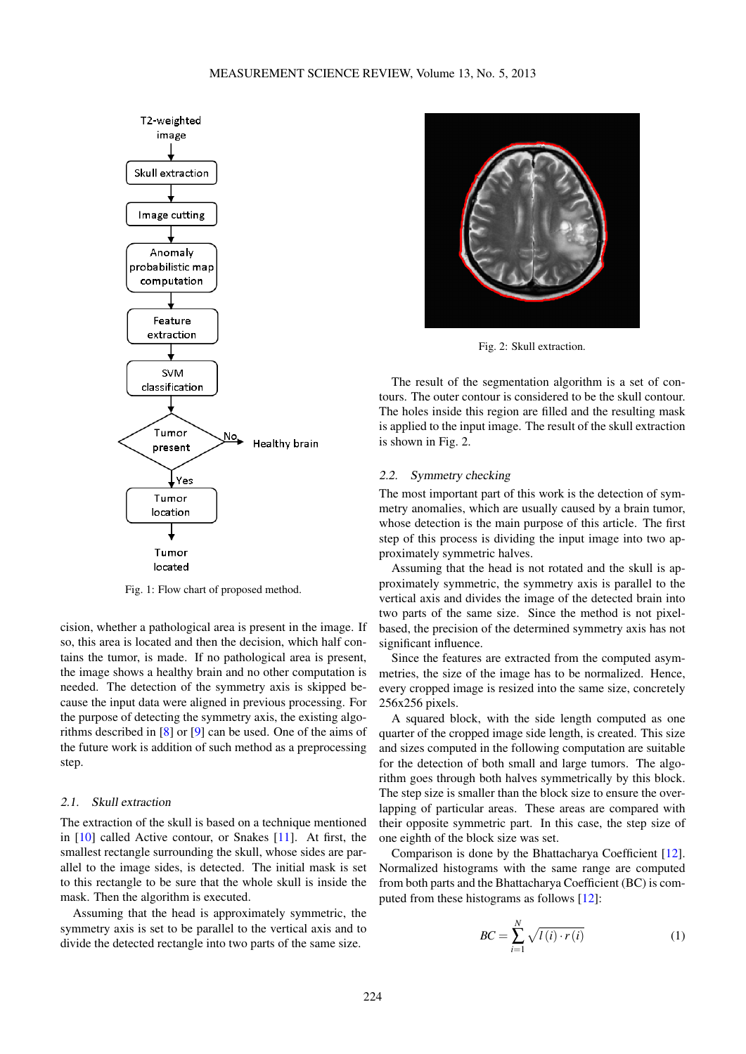<span id="page-1-0"></span>

Fig. 1: Flow chart of proposed method.

cision, whether a pathological area is present in the image. If so, this area is located and then the decision, which half contains the tumor, is made. If no pathological area is present, the image shows a healthy brain and no other computation is needed. The detection of the symmetry axis is skipped because the input data were aligned in previous processing. For the purpose of detecting the symmetry axis, the existing algorithms described in [\[8\]](#page-6-7) or [\[9\]](#page-6-8) can be used. One of the aims of the future work is addition of such method as a preprocessing step.

# 2.1. Skull extraction

The extraction of the skull is based on a technique mentioned in [\[10\]](#page-6-9) called Active contour, or Snakes [\[11\]](#page-6-10). At first, the smallest rectangle surrounding the skull, whose sides are parallel to the image sides, is detected. The initial mask is set to this rectangle to be sure that the whole skull is inside the mask. Then the algorithm is executed.

Assuming that the head is approximately symmetric, the symmetry axis is set to be parallel to the vertical axis and to divide the detected rectangle into two parts of the same size.

<span id="page-1-1"></span>

Fig. 2: Skull extraction.

The result of the segmentation algorithm is a set of contours. The outer contour is considered to be the skull contour. The holes inside this region are filled and the resulting mask is applied to the input image. The result of the skull extraction is shown in Fig. [2.](#page-1-1)

#### 2.2. Symmetry checking

The most important part of this work is the detection of symmetry anomalies, which are usually caused by a brain tumor, whose detection is the main purpose of this article. The first step of this process is dividing the input image into two approximately symmetric halves.

Assuming that the head is not rotated and the skull is approximately symmetric, the symmetry axis is parallel to the vertical axis and divides the image of the detected brain into two parts of the same size. Since the method is not pixelbased, the precision of the determined symmetry axis has not significant influence.

Since the features are extracted from the computed asymmetries, the size of the image has to be normalized. Hence, every cropped image is resized into the same size, concretely 256x256 pixels.

A squared block, with the side length computed as one quarter of the cropped image side length, is created. This size and sizes computed in the following computation are suitable for the detection of both small and large tumors. The algorithm goes through both halves symmetrically by this block. The step size is smaller than the block size to ensure the overlapping of particular areas. These areas are compared with their opposite symmetric part. In this case, the step size of one eighth of the block size was set.

Comparison is done by the Bhattacharya Coefficient [\[12\]](#page-7-0). Normalized histograms with the same range are computed from both parts and the Bhattacharya Coefficient (BC) is computed from these histograms as follows [\[12\]](#page-7-0):

$$
BC = \sum_{i=1}^{N} \sqrt{l(i) \cdot r(i)} \tag{1}
$$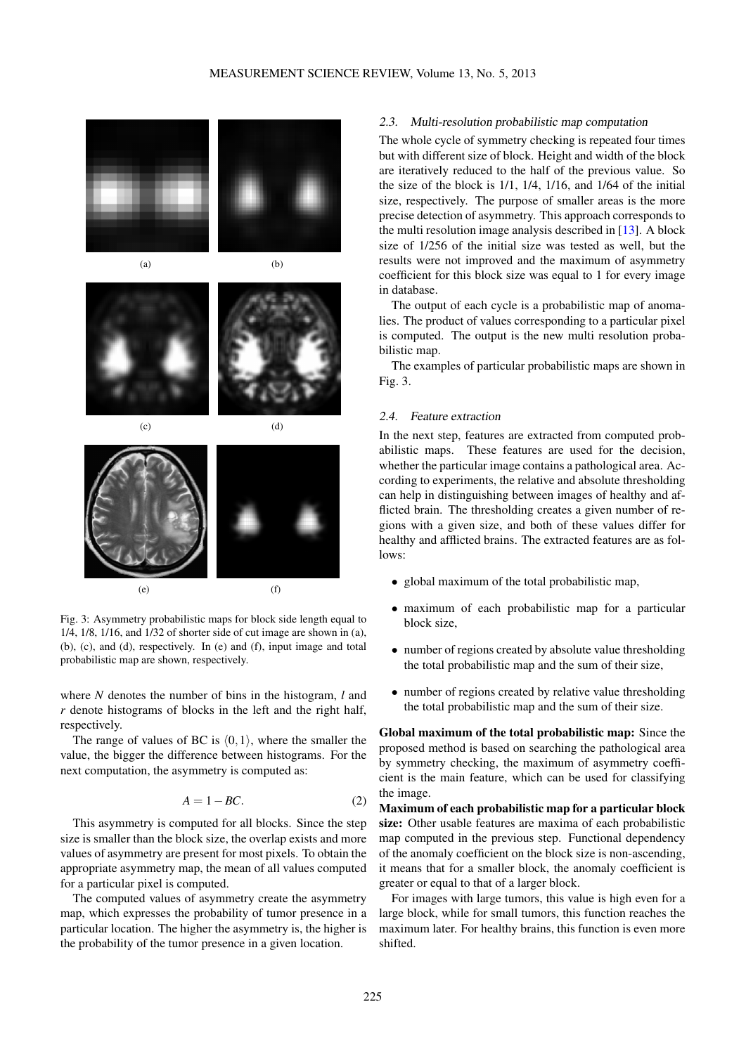<span id="page-2-6"></span><span id="page-2-0"></span>

<span id="page-2-1"></span>

<span id="page-2-3"></span>



<span id="page-2-2"></span>

Fig. 3: Asymmetry probabilistic maps for block side length equal to 1/4, 1/8, 1/16, and 1/32 of shorter side of cut image are shown in [\(a\),](#page-2-0) [\(b\),](#page-2-1) [\(c\),](#page-2-2) and [\(d\),](#page-2-3) respectively. In [\(e\)](#page-2-4) and [\(f\),](#page-2-5) input image and total probabilistic map are shown, respectively.

<span id="page-2-5"></span><span id="page-2-4"></span> $(e)$  (f)

where *N* denotes the number of bins in the histogram, *l* and *r* denote histograms of blocks in the left and the right half, respectively.

The range of values of BC is  $(0,1)$ , where the smaller the value, the bigger the difference between histograms. For the next computation, the asymmetry is computed as:

$$
A = 1 - BC. \tag{2}
$$

This asymmetry is computed for all blocks. Since the step size is smaller than the block size, the overlap exists and more values of asymmetry are present for most pixels. To obtain the appropriate asymmetry map, the mean of all values computed for a particular pixel is computed.

The computed values of asymmetry create the asymmetry map, which expresses the probability of tumor presence in a particular location. The higher the asymmetry is, the higher is the probability of the tumor presence in a given location.

## 2.3. Multi-resolution probabilistic map computation

The whole cycle of symmetry checking is repeated four times but with different size of block. Height and width of the block are iteratively reduced to the half of the previous value. So the size of the block is 1/1, 1/4, 1/16, and 1/64 of the initial size, respectively. The purpose of smaller areas is the more precise detection of asymmetry. This approach corresponds to the multi resolution image analysis described in [\[13\]](#page-7-1). A block size of 1/256 of the initial size was tested as well, but the results were not improved and the maximum of asymmetry coefficient for this block size was equal to 1 for every image in database.

The output of each cycle is a probabilistic map of anomalies. The product of values corresponding to a particular pixel is computed. The output is the new multi resolution probabilistic map.

The examples of particular probabilistic maps are shown in Fig. [3.](#page-2-6)

#### 2.4. Feature extraction

In the next step, features are extracted from computed probabilistic maps. These features are used for the decision, whether the particular image contains a pathological area. According to experiments, the relative and absolute thresholding can help in distinguishing between images of healthy and afflicted brain. The thresholding creates a given number of regions with a given size, and both of these values differ for healthy and afflicted brains. The extracted features are as follows:

- global maximum of the total probabilistic map,
- maximum of each probabilistic map for a particular block size,
- number of regions created by absolute value thresholding the total probabilistic map and the sum of their size,
- number of regions created by relative value thresholding the total probabilistic map and the sum of their size.

Global maximum of the total probabilistic map: Since the proposed method is based on searching the pathological area by symmetry checking, the maximum of asymmetry coefficient is the main feature, which can be used for classifying the image.

Maximum of each probabilistic map for a particular block size: Other usable features are maxima of each probabilistic map computed in the previous step. Functional dependency of the anomaly coefficient on the block size is non-ascending, it means that for a smaller block, the anomaly coefficient is greater or equal to that of a larger block.

For images with large tumors, this value is high even for a large block, while for small tumors, this function reaches the maximum later. For healthy brains, this function is even more shifted.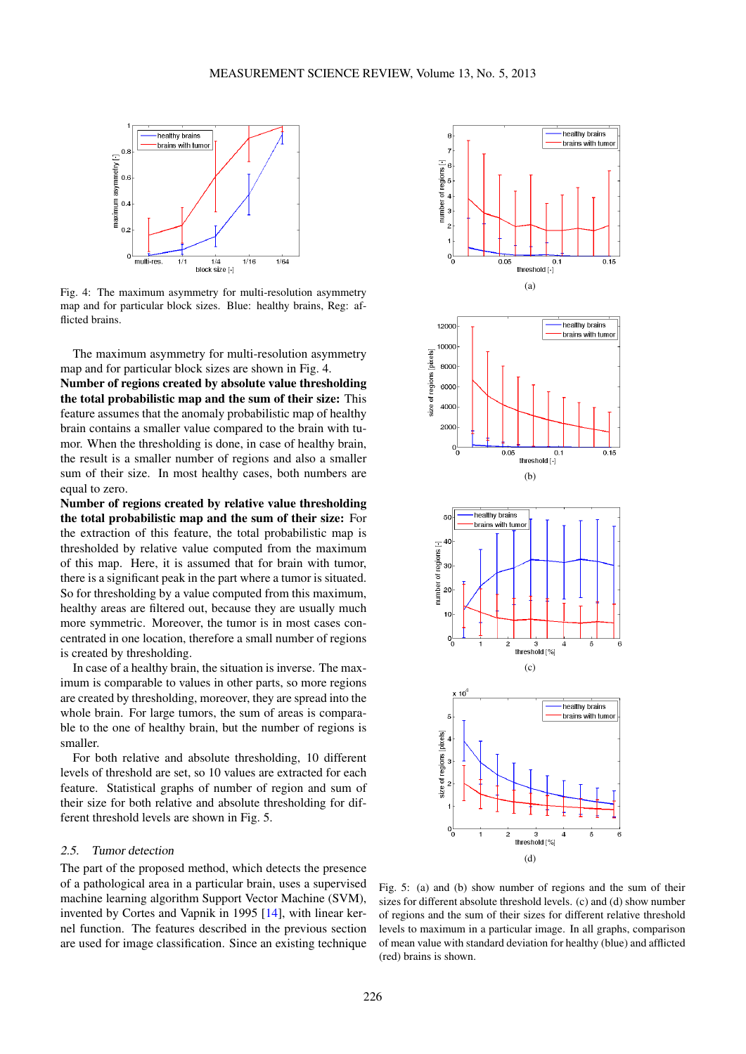<span id="page-3-0"></span>

Fig. 4: The maximum asymmetry for multi-resolution asymmetry map and for particular block sizes. Blue: healthy brains, Reg: afflicted brains.

The maximum asymmetry for multi-resolution asymmetry map and for particular block sizes are shown in Fig. [4.](#page-3-0)

Number of regions created by absolute value thresholding the total probabilistic map and the sum of their size: This feature assumes that the anomaly probabilistic map of healthy brain contains a smaller value compared to the brain with tumor. When the thresholding is done, in case of healthy brain, the result is a smaller number of regions and also a smaller sum of their size. In most healthy cases, both numbers are equal to zero.

Number of regions created by relative value thresholding the total probabilistic map and the sum of their size: For the extraction of this feature, the total probabilistic map is thresholded by relative value computed from the maximum of this map. Here, it is assumed that for brain with tumor, there is a significant peak in the part where a tumor is situated. So for thresholding by a value computed from this maximum, healthy areas are filtered out, because they are usually much more symmetric. Moreover, the tumor is in most cases concentrated in one location, therefore a small number of regions is created by thresholding.

In case of a healthy brain, the situation is inverse. The maximum is comparable to values in other parts, so more regions are created by thresholding, moreover, they are spread into the whole brain. For large tumors, the sum of areas is comparable to the one of healthy brain, but the number of regions is smaller.

For both relative and absolute thresholding, 10 different levels of threshold are set, so 10 values are extracted for each feature. Statistical graphs of number of region and sum of their size for both relative and absolute thresholding for different threshold levels are shown in Fig. [5.](#page-3-1)

## 2.5. Tumor detection

The part of the proposed method, which detects the presence of a pathological area in a particular brain, uses a supervised machine learning algorithm Support Vector Machine (SVM), invented by Cortes and Vapnik in 1995 [\[14\]](#page-7-2), with linear kernel function. The features described in the previous section are used for image classification. Since an existing technique

<span id="page-3-2"></span><span id="page-3-1"></span>

<span id="page-3-4"></span><span id="page-3-3"></span>

<span id="page-3-5"></span>Fig. 5: [\(a\)](#page-3-2) and [\(b\)](#page-3-3) show number of regions and the sum of their sizes for different absolute threshold levels. [\(c\)](#page-3-4) and [\(d\)](#page-3-5) show number of regions and the sum of their sizes for different relative threshold levels to maximum in a particular image. In all graphs, comparison of mean value with standard deviation for healthy (blue) and afflicted (red) brains is shown.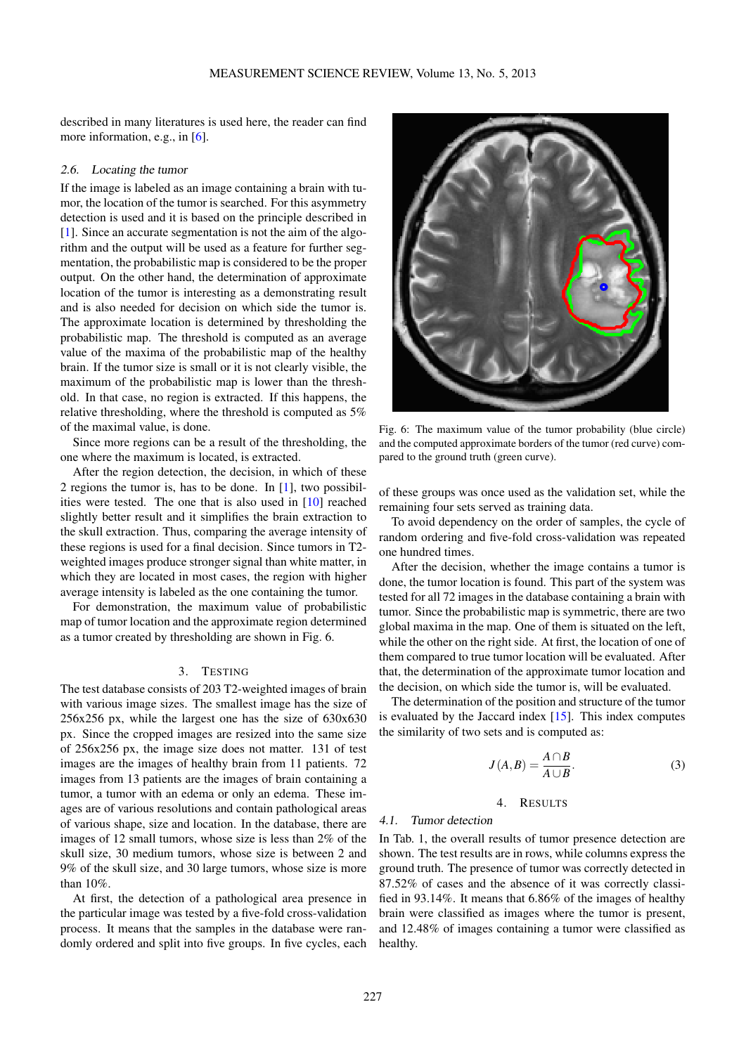described in many literatures is used here, the reader can find more information, e.g., in [\[6\]](#page-6-5).

## 2.6. Locating the tumor

If the image is labeled as an image containing a brain with tumor, the location of the tumor is searched. For this asymmetry detection is used and it is based on the principle described in [\[1\]](#page-6-0). Since an accurate segmentation is not the aim of the algorithm and the output will be used as a feature for further segmentation, the probabilistic map is considered to be the proper output. On the other hand, the determination of approximate location of the tumor is interesting as a demonstrating result and is also needed for decision on which side the tumor is. The approximate location is determined by thresholding the probabilistic map. The threshold is computed as an average value of the maxima of the probabilistic map of the healthy brain. If the tumor size is small or it is not clearly visible, the maximum of the probabilistic map is lower than the threshold. In that case, no region is extracted. If this happens, the relative thresholding, where the threshold is computed as 5% of the maximal value, is done.

Since more regions can be a result of the thresholding, the one where the maximum is located, is extracted.

After the region detection, the decision, in which of these 2 regions the tumor is, has to be done. In  $[1]$ , two possibilities were tested. The one that is also used in [\[10\]](#page-6-9) reached slightly better result and it simplifies the brain extraction to the skull extraction. Thus, comparing the average intensity of these regions is used for a final decision. Since tumors in T2 weighted images produce stronger signal than white matter, in which they are located in most cases, the region with higher average intensity is labeled as the one containing the tumor.

For demonstration, the maximum value of probabilistic map of tumor location and the approximate region determined as a tumor created by thresholding are shown in Fig. [6.](#page-4-0)

## 3. TESTING

The test database consists of 203 T2-weighted images of brain with various image sizes. The smallest image has the size of 256x256 px, while the largest one has the size of 630x630 px. Since the cropped images are resized into the same size of 256x256 px, the image size does not matter. 131 of test images are the images of healthy brain from 11 patients. 72 images from 13 patients are the images of brain containing a tumor, a tumor with an edema or only an edema. These images are of various resolutions and contain pathological areas of various shape, size and location. In the database, there are images of 12 small tumors, whose size is less than 2% of the skull size, 30 medium tumors, whose size is between 2 and 9% of the skull size, and 30 large tumors, whose size is more than 10%.

At first, the detection of a pathological area presence in the particular image was tested by a five-fold cross-validation process. It means that the samples in the database were randomly ordered and split into five groups. In five cycles, each

<span id="page-4-0"></span>

Fig. 6: The maximum value of the tumor probability (blue circle) and the computed approximate borders of the tumor (red curve) compared to the ground truth (green curve).

of these groups was once used as the validation set, while the remaining four sets served as training data.

To avoid dependency on the order of samples, the cycle of random ordering and five-fold cross-validation was repeated one hundred times.

After the decision, whether the image contains a tumor is done, the tumor location is found. This part of the system was tested for all 72 images in the database containing a brain with tumor. Since the probabilistic map is symmetric, there are two global maxima in the map. One of them is situated on the left, while the other on the right side. At first, the location of one of them compared to true tumor location will be evaluated. After that, the determination of the approximate tumor location and the decision, on which side the tumor is, will be evaluated.

The determination of the position and structure of the tumor is evaluated by the Jaccard index  $[15]$ . This index computes the similarity of two sets and is computed as:

$$
J(A,B) = \frac{A \cap B}{A \cup B}.\tag{3}
$$

#### 4. RESULTS

#### 4.1. Tumor detection

In Tab. [1,](#page-5-0) the overall results of tumor presence detection are shown. The test results are in rows, while columns express the ground truth. The presence of tumor was correctly detected in 87.52% of cases and the absence of it was correctly classified in 93.14%. It means that 6.86% of the images of healthy brain were classified as images where the tumor is present, and 12.48% of images containing a tumor were classified as healthy.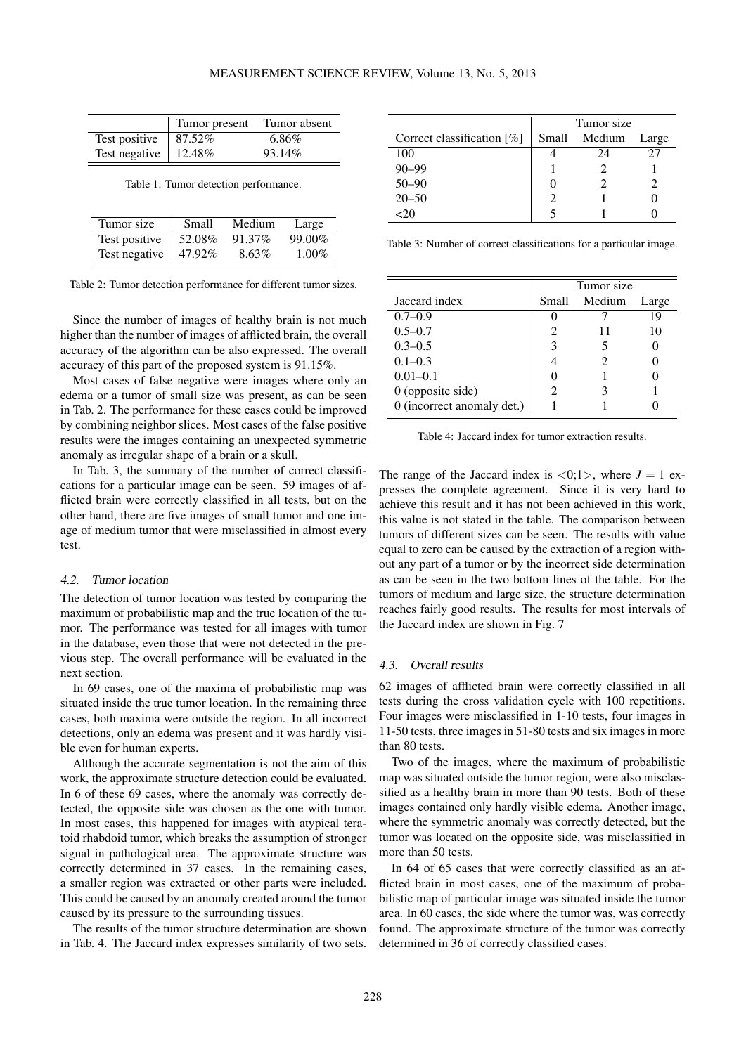<span id="page-5-0"></span>

|                           | Tumor present | Tumor absent |
|---------------------------|---------------|--------------|
| Test positive             | $ 87.52\%$    | 6.86%        |
| Test negative   $12.48\%$ |               | 93.14%       |

Table 1: Tumor detection performance.

<span id="page-5-1"></span>

| Tumor size    | <b>Small</b> | Medium | Large    |
|---------------|--------------|--------|----------|
| Test positive | 52.08%       | 91.37% | 99.00%   |
| Test negative | 47.92%       | 8.63%  | $1.00\%$ |

Table 2: Tumor detection performance for different tumor sizes.

Since the number of images of healthy brain is not much higher than the number of images of afflicted brain, the overall accuracy of the algorithm can be also expressed. The overall accuracy of this part of the proposed system is 91.15%.

Most cases of false negative were images where only an edema or a tumor of small size was present, as can be seen in Tab. [2.](#page-5-1) The performance for these cases could be improved by combining neighbor slices. Most cases of the false positive results were the images containing an unexpected symmetric anomaly as irregular shape of a brain or a skull.

In Tab. [3,](#page-5-2) the summary of the number of correct classifications for a particular image can be seen. 59 images of afflicted brain were correctly classified in all tests, but on the other hand, there are five images of small tumor and one image of medium tumor that were misclassified in almost every test.

### 4.2. Tumor location

The detection of tumor location was tested by comparing the maximum of probabilistic map and the true location of the tumor. The performance was tested for all images with tumor in the database, even those that were not detected in the previous step. The overall performance will be evaluated in the next section.

In 69 cases, one of the maxima of probabilistic map was situated inside the true tumor location. In the remaining three cases, both maxima were outside the region. In all incorrect detections, only an edema was present and it was hardly visible even for human experts.

Although the accurate segmentation is not the aim of this work, the approximate structure detection could be evaluated. In 6 of these 69 cases, where the anomaly was correctly detected, the opposite side was chosen as the one with tumor. In most cases, this happened for images with atypical teratoid rhabdoid tumor, which breaks the assumption of stronger signal in pathological area. The approximate structure was correctly determined in 37 cases. In the remaining cases, a smaller region was extracted or other parts were included. This could be caused by an anomaly created around the tumor caused by its pressure to the surrounding tissues.

The results of the tumor structure determination are shown in Tab. [4.](#page-5-3) The Jaccard index expresses similarity of two sets.

<span id="page-5-2"></span>

|                               | Tumor size |        |       |
|-------------------------------|------------|--------|-------|
| Correct classification $[\%]$ | Small      | Medium | Large |
| 100                           |            | 24     |       |
| $90 - 99$                     |            |        |       |
| $50 - 90$                     |            |        |       |
| $20 - 50$                     |            |        |       |
|                               |            |        |       |

<span id="page-5-3"></span>Table 3: Number of correct classifications for a particular image.

|                            | Tumor size |        |       |
|----------------------------|------------|--------|-------|
| Jaccard index              | Small      | Medium | Large |
| $0.7 - 0.9$                |            |        | 19    |
| $0.5 - 0.7$                |            | 11     | 10    |
| $0.3 - 0.5$                | 3          |        |       |
| $0.1 - 0.3$                |            | 2      |       |
| $0.01 - 0.1$               |            |        |       |
| $0$ (opposite side)        |            |        |       |
| 0 (incorrect anomaly det.) |            |        |       |

Table 4: Jaccard index for tumor extraction results.

The range of the Jaccard index is  $\langle 0;1 \rangle$ , where  $J = 1$  expresses the complete agreement. Since it is very hard to achieve this result and it has not been achieved in this work, this value is not stated in the table. The comparison between tumors of different sizes can be seen. The results with value equal to zero can be caused by the extraction of a region without any part of a tumor or by the incorrect side determination as can be seen in the two bottom lines of the table. For the tumors of medium and large size, the structure determination reaches fairly good results. The results for most intervals of the Jaccard index are shown in Fig. [7](#page-6-11)

# 4.3. Overall results

62 images of afflicted brain were correctly classified in all tests during the cross validation cycle with 100 repetitions. Four images were misclassified in 1-10 tests, four images in 11-50 tests, three images in 51-80 tests and six images in more than 80 tests.

Two of the images, where the maximum of probabilistic map was situated outside the tumor region, were also misclassified as a healthy brain in more than 90 tests. Both of these images contained only hardly visible edema. Another image, where the symmetric anomaly was correctly detected, but the tumor was located on the opposite side, was misclassified in more than 50 tests.

In 64 of 65 cases that were correctly classified as an afflicted brain in most cases, one of the maximum of probabilistic map of particular image was situated inside the tumor area. In 60 cases, the side where the tumor was, was correctly found. The approximate structure of the tumor was correctly determined in 36 of correctly classified cases.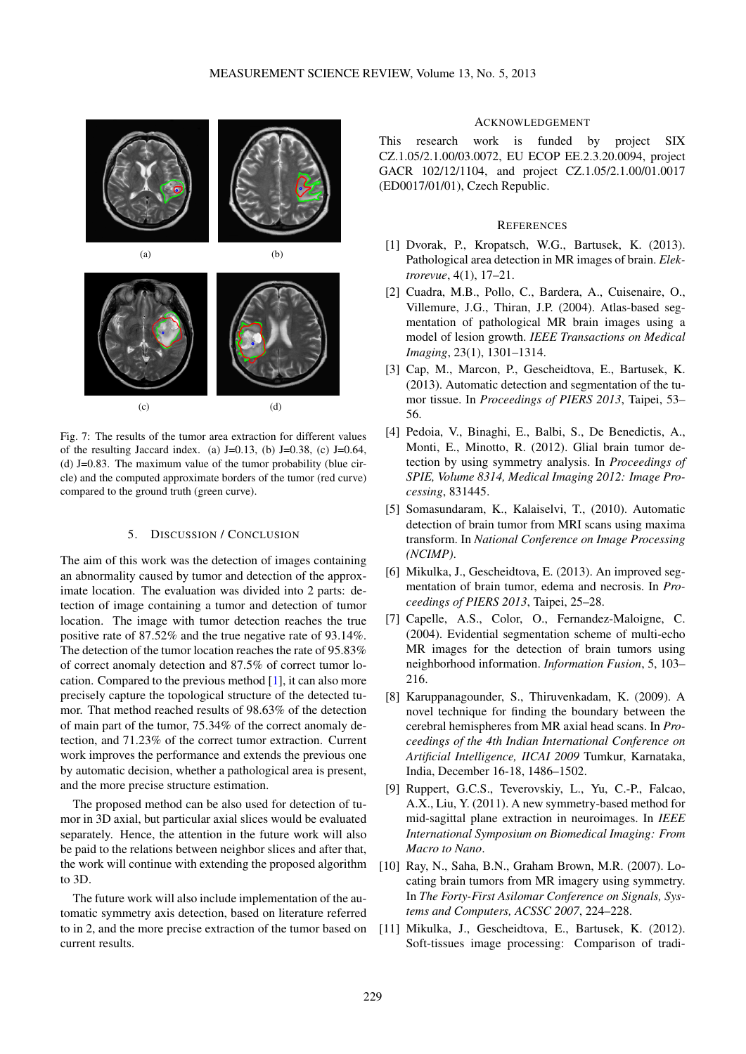<span id="page-6-12"></span><span id="page-6-11"></span>

<span id="page-6-15"></span><span id="page-6-14"></span>Fig. 7: The results of the tumor area extraction for different values of the resulting Jaccard index. [\(a\)](#page-6-12) J=0.13, [\(b\)](#page-6-13) J=0.38, [\(c\)](#page-6-14) J=0.64, [\(d\)](#page-6-15)  $J=0.83$ . The maximum value of the tumor probability (blue circle) and the computed approximate borders of the tumor (red curve) compared to the ground truth (green curve).

## 5. DISCUSSION / CONCLUSION

The aim of this work was the detection of images containing an abnormality caused by tumor and detection of the approximate location. The evaluation was divided into 2 parts: detection of image containing a tumor and detection of tumor location. The image with tumor detection reaches the true positive rate of 87.52% and the true negative rate of 93.14%. The detection of the tumor location reaches the rate of 95.83% of correct anomaly detection and 87.5% of correct tumor location. Compared to the previous method [\[1\]](#page-6-0), it can also more precisely capture the topological structure of the detected tumor. That method reached results of 98.63% of the detection of main part of the tumor, 75.34% of the correct anomaly detection, and 71.23% of the correct tumor extraction. Current work improves the performance and extends the previous one by automatic decision, whether a pathological area is present, and the more precise structure estimation.

The proposed method can be also used for detection of tumor in 3D axial, but particular axial slices would be evaluated separately. Hence, the attention in the future work will also be paid to the relations between neighbor slices and after that, the work will continue with extending the proposed algorithm to 3D.

The future work will also include implementation of the automatic symmetry axis detection, based on literature referred to in [2,](#page-0-0) and the more precise extraction of the tumor based on current results.

#### ACKNOWLEDGEMENT

This research work is funded by project SIX CZ.1.05/2.1.00/03.0072, EU ECOP EE.2.3.20.0094, project GACR 102/12/1104, and project CZ.1.05/2.1.00/01.0017 (ED0017/01/01), Czech Republic.

## **REFERENCES**

- <span id="page-6-13"></span><span id="page-6-0"></span>[1] Dvorak, P., Kropatsch, W.G., Bartusek, K. (2013). Pathological area detection in MR images of brain. *Elektrorevue*, 4(1), 17–21.
- <span id="page-6-1"></span>[2] Cuadra, M.B., Pollo, C., Bardera, A., Cuisenaire, O., Villemure, J.G., Thiran, J.P. (2004). Atlas-based segmentation of pathological MR brain images using a model of lesion growth. *IEEE Transactions on Medical Imaging*, 23(1), 1301–1314.
- <span id="page-6-2"></span>[3] Cap, M., Marcon, P., Gescheidtova, E., Bartusek, K. (2013). Automatic detection and segmentation of the tumor tissue. In *Proceedings of PIERS 2013*, Taipei, 53– 56.
- <span id="page-6-3"></span>[4] Pedoia, V., Binaghi, E., Balbi, S., De Benedictis, A., Monti, E., Minotto, R. (2012). Glial brain tumor detection by using symmetry analysis. In *Proceedings of SPIE, Volume 8314, Medical Imaging 2012: Image Processing*, 831445.
- <span id="page-6-4"></span>[5] Somasundaram, K., Kalaiselvi, T., (2010). Automatic detection of brain tumor from MRI scans using maxima transform. In *National Conference on Image Processing (NCIMP)*.
- <span id="page-6-5"></span>[6] Mikulka, J., Gescheidtova, E. (2013). An improved segmentation of brain tumor, edema and necrosis. In *Proceedings of PIERS 2013*, Taipei, 25–28.
- <span id="page-6-6"></span>[7] Capelle, A.S., Color, O., Fernandez-Maloigne, C. (2004). Evidential segmentation scheme of multi-echo MR images for the detection of brain tumors using neighborhood information. *Information Fusion*, 5, 103– 216.
- <span id="page-6-7"></span>[8] Karuppanagounder, S., Thiruvenkadam, K. (2009). A novel technique for finding the boundary between the cerebral hemispheres from MR axial head scans. In *Proceedings of the 4th Indian International Conference on Artificial Intelligence, IICAI 2009* Tumkur, Karnataka, India, December 16-18, 1486–1502.
- <span id="page-6-8"></span>[9] Ruppert, G.C.S., Teverovskiy, L., Yu, C.-P., Falcao, A.X., Liu, Y. (2011). A new symmetry-based method for mid-sagittal plane extraction in neuroimages. In *IEEE International Symposium on Biomedical Imaging: From Macro to Nano*.
- <span id="page-6-9"></span>[10] Ray, N., Saha, B.N., Graham Brown, M.R. (2007). Locating brain tumors from MR imagery using symmetry. In *The Forty-First Asilomar Conference on Signals, Systems and Computers, ACSSC 2007*, 224–228.
- <span id="page-6-10"></span>[11] Mikulka, J., Gescheidtova, E., Bartusek, K. (2012). Soft-tissues image processing: Comparison of tradi-